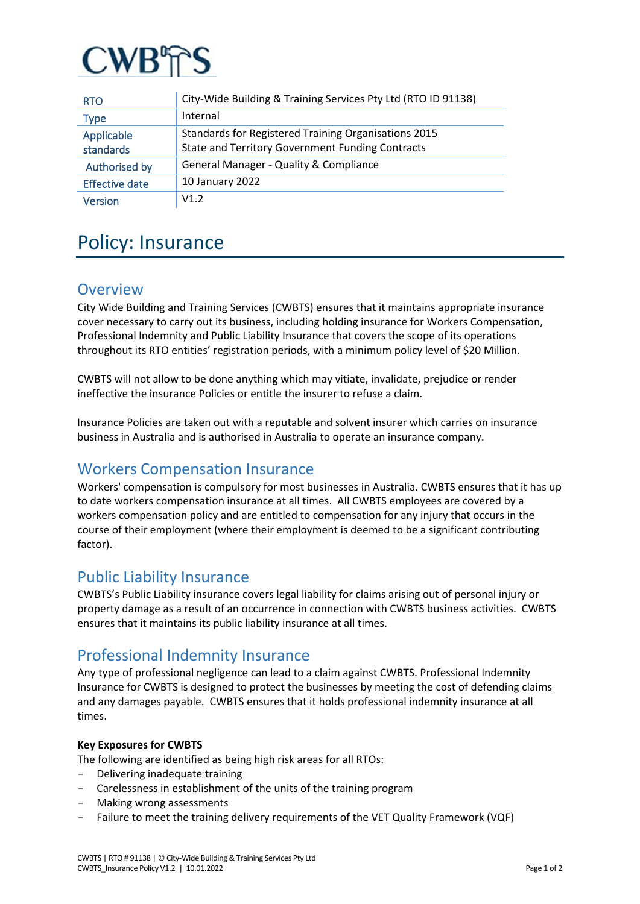

| <b>RTO</b>              | City-Wide Building & Training Services Pty Ltd (RTO ID 91138)                                                   |
|-------------------------|-----------------------------------------------------------------------------------------------------------------|
| Type                    | Internal                                                                                                        |
| Applicable<br>standards | Standards for Registered Training Organisations 2015<br><b>State and Territory Government Funding Contracts</b> |
| Authorised by           | General Manager - Quality & Compliance                                                                          |
| <b>Effective date</b>   | 10 January 2022                                                                                                 |
| <b>Version</b>          | V1.2                                                                                                            |

# Policy: Insurance

## **Overview**

City Wide Building and Training Services (CWBTS) ensures that it maintains appropriate insurance cover necessary to carry out its business, including holding insurance for Workers Compensation, Professional Indemnity and Public Liability Insurance that covers the scope of its operations throughout its RTO entities' registration periods, with a minimum policy level of \$20 Million.

CWBTS will not allow to be done anything which may vitiate, invalidate, prejudice or render ineffective the insurance Policies or entitle the insurer to refuse a claim.

Insurance Policies are taken out with a reputable and solvent insurer which carries on insurance business in Australia and is authorised in Australia to operate an insurance company.

# Workers Compensation Insurance

Workers' compensation is compulsory for most businesses in Australia. CWBTS ensures that it has up to date workers compensation insurance at all times. All CWBTS employees are covered by a workers compensation policy and are entitled to compensation for any injury that occurs in the course of their employment (where their employment is deemed to be a significant contributing factor).

### Public Liability Insurance

CWBTS's Public Liability insurance covers legal liability for claims arising out of personal injury or property damage as a result of an occurrence in connection with CWBTS business activities. CWBTS ensures that it maintains its public liability insurance at all times.

# Professional Indemnity Insurance

Any type of professional negligence can lead to a claim against CWBTS. Professional Indemnity Insurance for CWBTS is designed to protect the businesses by meeting the cost of defending claims and any damages payable. CWBTS ensures that it holds professional indemnity insurance at all times.

#### **Key Exposures for CWBTS**

The following are identified as being high risk areas for all RTOs:

- Delivering inadequate training
- Carelessness in establishment of the units of the training program
- Making wrong assessments
- Failure to meet the training delivery requirements of the VET Quality Framework (VQF)